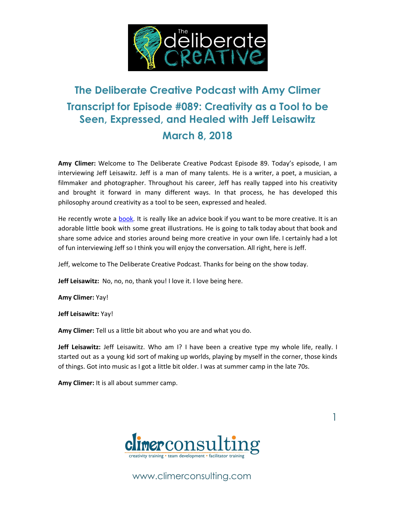

# **The Deliberate Creative Podcast with Amy Climer Transcript for Episode #089: Creativity as a Tool to be Seen, Expressed, and Healed with Jeff Leisawitz March 8, 2018**

**Amy Climer:** Welcome to The Deliberate Creative Podcast Episode 89. Today's episode, I am interviewing Jeff Leisawitz. Jeff is a man of many talents. He is a writer, a poet, a musician, a filmmaker and photographer. Throughout his career, Jeff has really tapped into his creativity and brought it forward in many different ways. In that process, he has developed this philosophy around creativity as a tool to be seen, expressed and healed.

He recently wrote a **book**. It is really like an advice book if you want to be more creative. It is an adorable little book with some great illustrations. He is going to talk today about that book and share some advice and stories around being more creative in your own life. I certainly had a lot of fun interviewing Jeff so I think you will enjoy the conversation. All right, here is Jeff.

Jeff, welcome to The Deliberate Creative Podcast. Thanks for being on the show today.

**Jeff Leisawitz:** No, no, no, thank you! I love it. I love being here.

**Amy Climer:** Yay!

**Jeff Leisawitz:** Yay!

**Amy Climer:** Tell us a little bit about who you are and what you do.

**Jeff Leisawitz:** Jeff Leisawitz. Who am I? I have been a creative type my whole life, really. I started out as a young kid sort of making up worlds, playing by myself in the corner, those kinds of things. Got into music as I got a little bit older. I was at summer camp in the late 70s.

**Amy Climer:** It is all about summer camp.



1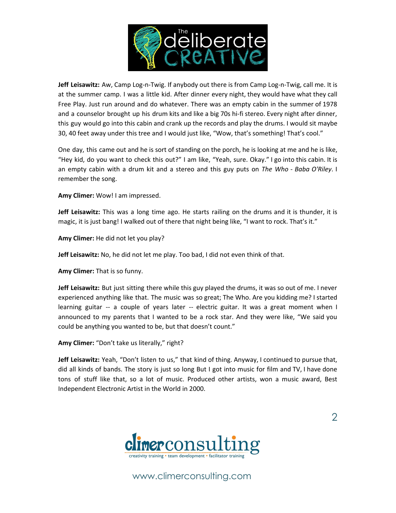

**Jeff Leisawitz:** Aw, Camp Log-n-Twig. If anybody out there is from Camp Log-n-Twig, call me. It is at the summer camp. I was a little kid. After dinner every night, they would have what they call Free Play. Just run around and do whatever. There was an empty cabin in the summer of 1978 and a counselor brought up his drum kits and like a big 70s hi-fi stereo. Every night after dinner, this guy would go into this cabin and crank up the records and play the drums. I would sit maybe 30, 40 feet away under this tree and I would just like, "Wow, that's something! That's cool."

One day, this came out and he is sort of standing on the porch, he is looking at me and he is like, "Hey kid, do you want to check this out?" I am like, "Yeah, sure. Okay." I go into this cabin. It is an empty cabin with a drum kit and a stereo and this guy puts on *The Who* - *Baba O'Riley*. I remember the song.

**Amy Climer:** Wow! I am impressed.

**Jeff Leisawitz:** This was a long time ago. He starts railing on the drums and it is thunder, it is magic, it is just bang! I walked out of there that night being like, "I want to rock. That's it."

**Amy Climer:** He did not let you play?

**Jeff Leisawitz:** No, he did not let me play. Too bad, I did not even think of that.

**Amy Climer:** That is so funny.

**Jeff Leisawitz:** But just sitting there while this guy played the drums, it was so out of me. I never experienced anything like that. The music was so great; The Who. Are you kidding me? I started learning guitar -- a couple of years later -- electric guitar. It was a great moment when I announced to my parents that I wanted to be a rock star. And they were like, "We said you could be anything you wanted to be, but that doesn't count."

**Amy Climer:** "Don't take us literally," right?

**Jeff Leisawitz:** Yeah, "Don't listen to us," that kind of thing. Anyway, I continued to pursue that, did all kinds of bands. The story is just so long But I got into music for film and TV, I have done tons of stuff like that, so a lot of music. Produced other artists, won a music award, Best Independent Electronic Artist in the World in 2000.

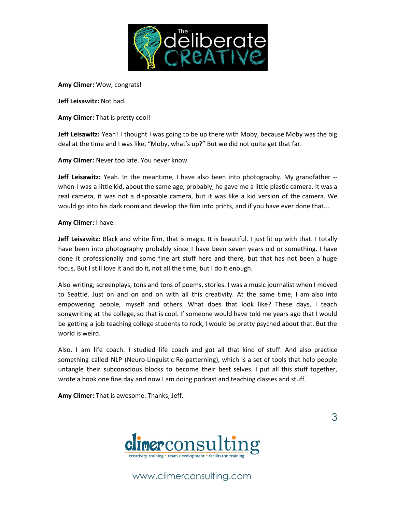

**Amy Climer:** Wow, congrats!

**Jeff Leisawitz:** Not bad.

**Amy Climer:** That is pretty cool!

**Jeff Leisawitz:** Yeah! I thought I was going to be up there with Moby, because Moby was the big deal at the time and I was like, "Moby, what's up?" But we did not quite get that far.

**Amy Climer:** Never too late. You never know.

**Jeff Leisawitz:** Yeah. In the meantime, I have also been into photography. My grandfather - when I was a little kid, about the same age, probably, he gave me a little plastic camera. It was a real camera, it was not a disposable camera, but it was like a kid version of the camera. We would go into his dark room and develop the film into prints, and if you have ever done that…

#### **Amy Climer:** I have.

**Jeff Leisawitz:** Black and white film, that is magic. It is beautiful. I just lit up with that. I totally have been into photography probably since I have been seven years old or something. I have done it professionally and some fine art stuff here and there, but that has not been a huge focus. But I still love it and do it, not all the time, but I do it enough.

Also writing; screenplays, tons and tons of poems, stories. I was a music journalist when I moved to Seattle. Just on and on and on with all this creativity. At the same time, I am also into empowering people, myself and others. What does that look like? These days, I teach songwriting at the college, so that is cool. If someone would have told me years ago that I would be getting a job teaching college students to rock, I would be pretty psyched about that. But the world is weird.

Also, I am life coach. I studied life coach and got all that kind of stuff. And also practice something called NLP (Neuro-Linguistic Re-patterning), which is a set of tools that help people untangle their subconscious blocks to become their best selves. I put all this stuff together, wrote a book one fine day and now I am doing podcast and teaching classes and stuff.

**Amy Climer:** That is awesome. Thanks, Jeff.



www.climerconsulting.com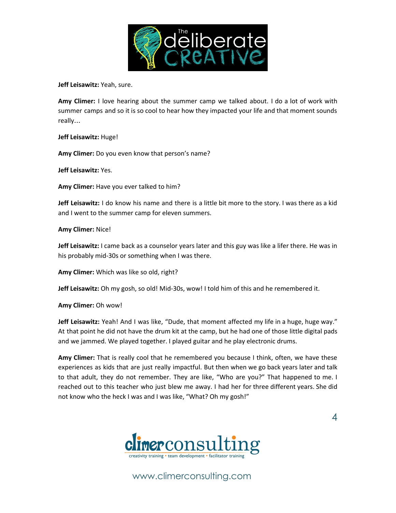

**Jeff Leisawitz:** Yeah, sure.

**Amy Climer:** I love hearing about the summer camp we talked about. I do a lot of work with summer camps and so it is so cool to hear how they impacted your life and that moment sounds really…

**Jeff Leisawitz:** Huge!

**Amy Climer:** Do you even know that person's name?

**Jeff Leisawitz:** Yes.

**Amy Climer:** Have you ever talked to him?

**Jeff Leisawitz:** I do know his name and there is a little bit more to the story. I was there as a kid and I went to the summer camp for eleven summers.

**Amy Climer:** Nice!

**Jeff Leisawitz:** I came back as a counselor years later and this guy was like a lifer there. He was in his probably mid-30s or something when I was there.

**Amy Climer:** Which was like so old, right?

**Jeff Leisawitz:** Oh my gosh, so old! Mid-30s, wow! I told him of this and he remembered it.

**Amy Climer:** Oh wow!

**Jeff Leisawitz:** Yeah! And I was like, "Dude, that moment affected my life in a huge, huge way." At that point he did not have the drum kit at the camp, but he had one of those little digital pads and we jammed. We played together. I played guitar and he play electronic drums.

**Amy Climer:** That is really cool that he remembered you because I think, often, we have these experiences as kids that are just really impactful. But then when we go back years later and talk to that adult, they do not remember. They are like, "Who are you?" That happened to me. I reached out to this teacher who just blew me away. I had her for three different years. She did not know who the heck I was and I was like, "What? Oh my gosh!"

4

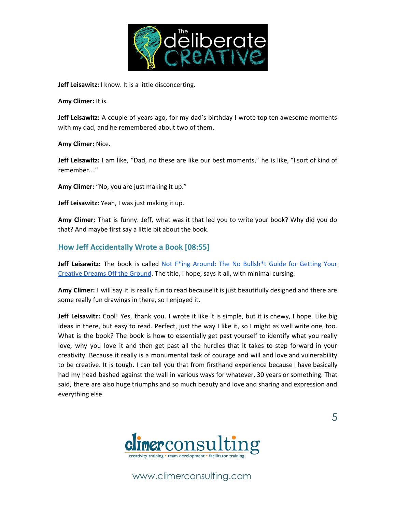

**Jeff Leisawitz:** I know. It is a little disconcerting.

**Amy Climer:** It is.

**Jeff Leisawitz:** A couple of years ago, for my dad's birthday I wrote top ten awesome moments with my dad, and he remembered about two of them.

**Amy Climer:** Nice.

**Jeff Leisawitz:** I am like, "Dad, no these are like our best moments," he is like, "I sort of kind of remember…"

**Amy Climer:** "No, you are just making it up."

**Jeff Leisawitz:** Yeah, I was just making it up.

**Amy Climer:** That is funny. Jeff, what was it that led you to write your book? Why did you do that? And maybe first say a little bit about the book.

### **How Jeff Accidentally Wrote a Book [08:55]**

**Jeff Leisawitz:** The book is called Not F\*ing [Around:](http://amzn.to/2E73FVC) The No Bullsh\*t Guide for Getting Your [Creative](http://amzn.to/2E73FVC) Dreams Off the Ground. The title, I hope, says it all, with minimal cursing.

**Amy Climer:** I will say it is really fun to read because it is just beautifully designed and there are some really fun drawings in there, so I enjoyed it.

**Jeff Leisawitz:** Cool! Yes, thank you. I wrote it like it is simple, but it is chewy, I hope. Like big ideas in there, but easy to read. Perfect, just the way I like it, so I might as well write one, too. What is the book? The book is how to essentially get past yourself to identify what you really love, why you love it and then get past all the hurdles that it takes to step forward in your creativity. Because it really is a monumental task of courage and will and love and vulnerability to be creative. It is tough. I can tell you that from firsthand experience because I have basically had my head bashed against the wall in various ways for whatever, 30 years or something. That said, there are also huge triumphs and so much beauty and love and sharing and expression and everything else.

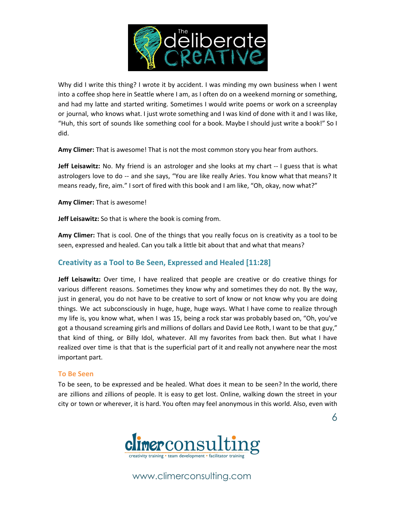

Why did I write this thing? I wrote it by accident. I was minding my own business when I went into a coffee shop here in Seattle where I am, as I often do on a weekend morning or something, and had my latte and started writing. Sometimes I would write poems or work on a screenplay or journal, who knows what. I just wrote something and I was kind of done with it and I was like, "Huh, this sort of sounds like something cool for a book. Maybe I should just write a book!" So I did.

**Amy Climer:** That is awesome! That is not the most common story you hear from authors.

**Jeff Leisawitz:** No. My friend is an astrologer and she looks at my chart -- I guess that is what astrologers love to do -- and she says, "You are like really Aries. You know what that means? It means ready, fire, aim." I sort of fired with this book and I am like, "Oh, okay, now what?"

**Amy Climer:** That is awesome!

**Jeff Leisawitz:** So that is where the book is coming from.

**Amy Climer:** That is cool. One of the things that you really focus on is creativity as a tool to be seen, expressed and healed. Can you talk a little bit about that and what that means?

## **Creativity as a Tool to Be Seen, Expressed and Healed [11:28]**

**Jeff Leisawitz:** Over time, I have realized that people are creative or do creative things for various different reasons. Sometimes they know why and sometimes they do not. By the way, just in general, you do not have to be creative to sort of know or not know why you are doing things. We act subconsciously in huge, huge, huge ways. What I have come to realize through my life is, you know what, when I was 15, being a rock star was probably based on, "Oh, you've got a thousand screaming girls and millions of dollars and David Lee Roth, I want to be that guy," that kind of thing, or Billy Idol, whatever. All my favorites from back then. But what I have realized over time is that that is the superficial part of it and really not anywhere near the most important part.

### **To Be Seen**

To be seen, to be expressed and be healed. What does it mean to be seen? In the world, there are zillions and zillions of people. It is easy to get lost. Online, walking down the street in your city or town or wherever, it is hard. You often may feel anonymous in this world. Also, even with

6

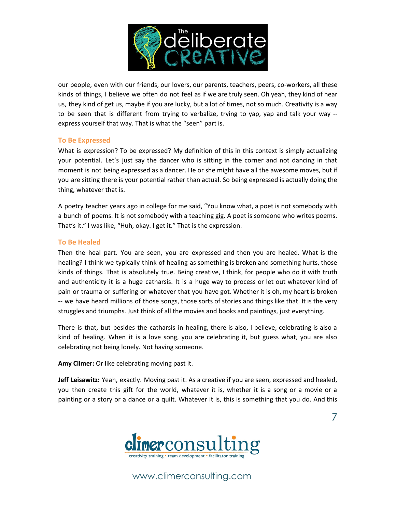

our people, even with our friends, our lovers, our parents, teachers, peers, co-workers, all these kinds of things, I believe we often do not feel as if we are truly seen. Oh yeah, they kind of hear us, they kind of get us, maybe if you are lucky, but a lot of times, not so much. Creativity is a way to be seen that is different from trying to verbalize, trying to yap, yap and talk your way - express yourself that way. That is what the "seen" part is.

### **To Be Expressed**

What is expression? To be expressed? My definition of this in this context is simply actualizing your potential. Let's just say the dancer who is sitting in the corner and not dancing in that moment is not being expressed as a dancer. He or she might have all the awesome moves, but if you are sitting there is your potential rather than actual. So being expressed is actually doing the thing, whatever that is.

A poetry teacher years ago in college for me said, "You know what, a poet is not somebody with a bunch of poems. It is not somebody with a teaching gig. A poet is someone who writes poems. That's it." I was like, "Huh, okay. I get it." That is the expression.

#### **To Be Healed**

Then the heal part. You are seen, you are expressed and then you are healed. What is the healing? I think we typically think of healing as something is broken and something hurts, those kinds of things. That is absolutely true. Being creative, I think, for people who do it with truth and authenticity it is a huge catharsis. It is a huge way to process or let out whatever kind of pain or trauma or suffering or whatever that you have got. Whether it is oh, my heart is broken -- we have heard millions of those songs, those sorts of stories and things like that. It is the very struggles and triumphs. Just think of all the movies and books and paintings, just everything.

There is that, but besides the catharsis in healing, there is also, I believe, celebrating is also a kind of healing. When it is a love song, you are celebrating it, but guess what, you are also celebrating not being lonely. Not having someone.

**Amy Climer:** Or like celebrating moving past it.

**Jeff Leisawitz:** Yeah, exactly. Moving past it. As a creative if you are seen, expressed and healed, you then create this gift for the world, whatever it is, whether it is a song or a movie or a painting or a story or a dance or a quilt. Whatever it is, this is something that you do. And this

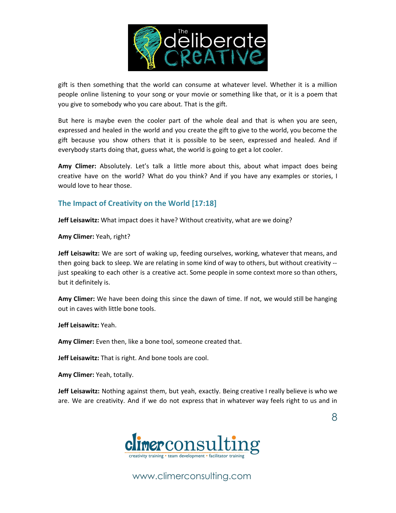

gift is then something that the world can consume at whatever level. Whether it is a million people online listening to your song or your movie or something like that, or it is a poem that you give to somebody who you care about. That is the gift.

But here is maybe even the cooler part of the whole deal and that is when you are seen, expressed and healed in the world and you create the gift to give to the world, you become the gift because you show others that it is possible to be seen, expressed and healed. And if everybody starts doing that, guess what, the world is going to get a lot cooler.

**Amy Climer:** Absolutely. Let's talk a little more about this, about what impact does being creative have on the world? What do you think? And if you have any examples or stories, I would love to hear those.

## **The Impact of Creativity on the World [17:18]**

**Jeff Leisawitz:** What impact does it have? Without creativity, what are we doing?

**Amy Climer:** Yeah, right?

**Jeff Leisawitz:** We are sort of waking up, feeding ourselves, working, whatever that means, and then going back to sleep. We are relating in some kind of way to others, but without creativity - just speaking to each other is a creative act. Some people in some context more so than others, but it definitely is.

**Amy Climer:** We have been doing this since the dawn of time. If not, we would still be hanging out in caves with little bone tools.

**Jeff Leisawitz:** Yeah.

**Amy Climer:** Even then, like a bone tool, someone created that.

**Jeff Leisawitz:** That is right. And bone tools are cool.

**Amy Climer:** Yeah, totally.

**Jeff Leisawitz:** Nothing against them, but yeah, exactly. Being creative I really believe is who we are. We are creativity. And if we do not express that in whatever way feels right to us and in

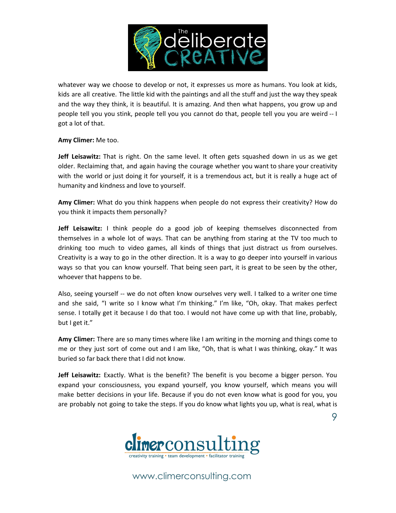

whatever way we choose to develop or not, it expresses us more as humans. You look at kids, kids are all creative. The little kid with the paintings and all the stuff and just the way they speak and the way they think, it is beautiful. It is amazing. And then what happens, you grow up and people tell you you stink, people tell you you cannot do that, people tell you you are weird -- I got a lot of that.

**Amy Climer:** Me too.

**Jeff Leisawitz:** That is right. On the same level. It often gets squashed down in us as we get older. Reclaiming that, and again having the courage whether you want to share your creativity with the world or just doing it for yourself, it is a tremendous act, but it is really a huge act of humanity and kindness and love to yourself.

**Amy Climer:** What do you think happens when people do not express their creativity? How do you think it impacts them personally?

**Jeff Leisawitz:** I think people do a good job of keeping themselves disconnected from themselves in a whole lot of ways. That can be anything from staring at the TV too much to drinking too much to video games, all kinds of things that just distract us from ourselves. Creativity is a way to go in the other direction. It is a way to go deeper into yourself in various ways so that you can know yourself. That being seen part, it is great to be seen by the other, whoever that happens to be.

Also, seeing yourself -- we do not often know ourselves very well. I talked to a writer one time and she said, "I write so I know what I'm thinking." I'm like, "Oh, okay. That makes perfect sense. I totally get it because I do that too. I would not have come up with that line, probably, but I get it."

**Amy Climer:** There are so many times where like I am writing in the morning and things come to me or they just sort of come out and I am like, "Oh, that is what I was thinking, okay." It was buried so far back there that I did not know.

**Jeff Leisawitz:** Exactly. What is the benefit? The benefit is you become a bigger person. You expand your consciousness, you expand yourself, you know yourself, which means you will make better decisions in your life. Because if you do not even know what is good for you, you are probably not going to take the steps. If you do know what lights you up, what is real, what is

9

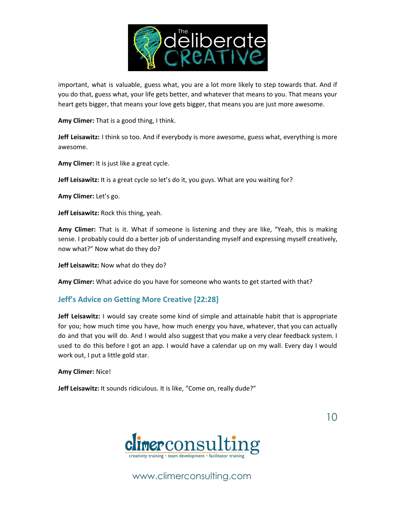

important, what is valuable, guess what, you are a lot more likely to step towards that. And if you do that, guess what, your life gets better, and whatever that means to you. That means your heart gets bigger, that means your love gets bigger, that means you are just more awesome.

**Amy Climer:** That is a good thing, I think.

**Jeff Leisawitz:** I think so too. And if everybody is more awesome, guess what, everything is more awesome.

**Amy Climer:** It is just like a great cycle.

**Jeff Leisawitz:** It is a great cycle so let's do it, you guys. What are you waiting for?

**Amy Climer:** Let's go.

**Jeff Leisawitz:** Rock this thing, yeah.

**Amy Climer:** That is it. What if someone is listening and they are like, "Yeah, this is making sense. I probably could do a better job of understanding myself and expressing myself creatively, now what?" Now what do they do?

**Jeff Leisawitz:** Now what do they do?

**Amy Climer:** What advice do you have for someone who wants to get started with that?

### **Jeff's Advice on Getting More Creative [22:28]**

**Jeff Leisawitz:** I would say create some kind of simple and attainable habit that is appropriate for you; how much time you have, how much energy you have, whatever, that you can actually do and that you will do. And I would also suggest that you make a very clear feedback system. I used to do this before I got an app. I would have a calendar up on my wall. Every day I would work out, I put a little gold star.

**Amy Climer:** Nice!

**Jeff Leisawitz:** It sounds ridiculous. It is like, "Come on, really dude?"



www.climerconsulting.com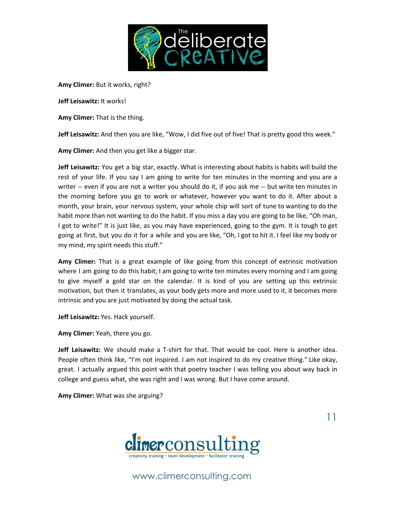

**Amy Climer:** But it works, right?

**Jeff Leisawitz:** It works!

**Amy Climer:** That is the thing.

**Jeff Leisawitz:** And then you are like, "Wow, I did five out of five! That is pretty good this week."

**Amy Climer:** And then you get like a bigger star.

**Jeff Leisawitz:** You get a big star, exactly. What is interesting about habits is habits will build the rest of your life. If you say I am going to write for ten minutes in the morning and you are a writer -- even if you are not a writer you should do it, if you ask me -- but write ten minutes in the morning before you go to work or whatever, however you want to do it. After about a month, your brain, your nervous system, your whole chip will sort of tune to wanting to do the habit more than not wanting to do the habit. If you miss a day you are going to be like, "Oh man, I got to write!" It is just like, as you may have experienced, going to the gym. It is tough to get going at first, but you do it for a while and you are like, "Oh, I got to hit it. I feel like my body or my mind, my spirit needs this stuff."

**Amy Climer:** That is a great example of like going from this concept of extrinsic motivation where I am going to do this habit; I am going to write ten minutes every morning and I am going to give myself a gold star on the calendar. It is kind of you are setting up this extrinsic motivation, but then it translates, as your body gets more and more used to it, it becomes more intrinsic and you are just motivated by doing the actual task.

**Jeff Leisawitz:** Yes. Hack yourself.

**Amy Climer:** Yeah, there you go.

**Jeff Leisawitz:** We should make a T-shirt for that. That would be cool. Here is another idea. People often think like, "I'm not inspired. I am not inspired to do my creative thing." Like okay, great. I actually argued this point with that poetry teacher I was telling you about way back in college and guess what, she was right and I was wrong. But I have come around.

**Amy Climer:** What was she arguing?



www.climerconsulting.com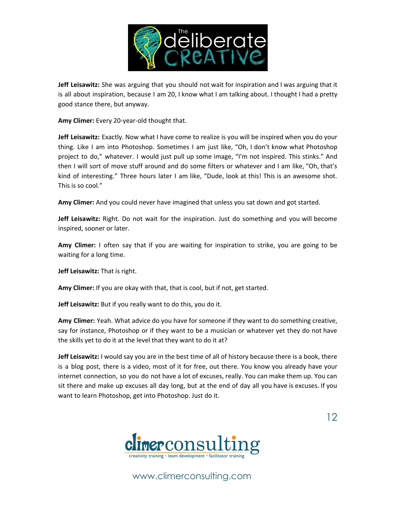

**Jeff Leisawitz:** She was arguing that you should not wait for inspiration and I was arguing that it is all about inspiration, because I am 20, I know what I am talking about. I thought I had a pretty good stance there, but anyway.

**Amy Climer:** Every 20-year-old thought that.

**Jeff Leisawitz:** Exactly. Now what I have come to realize is you will be inspired when you do your thing. Like I am into Photoshop. Sometimes I am just like, "Oh, I don't know what Photoshop project to do," whatever. I would just pull up some image, "I'm not inspired. This stinks." And then I will sort of move stuff around and do some filters or whatever and I am like, "Oh, that's kind of interesting." Three hours later I am like, "Dude, look at this! This is an awesome shot. This is so cool."

**Amy Climer:** And you could never have imagined that unless you sat down and got started.

**Jeff Leisawitz:** Right. Do not wait for the inspiration. Just do something and you will become inspired, sooner or later.

**Amy Climer:** I often say that if you are waiting for inspiration to strike, you are going to be waiting for a long time.

**Jeff Leisawitz:** That is right.

**Amy Climer:** If you are okay with that, that is cool, but if not, get started.

**Jeff Leisawitz:** But if you really want to do this, you do it.

**Amy Climer:** Yeah. What advice do you have for someone if they want to do something creative, say for instance, Photoshop or if they want to be a musician or whatever yet they do not have the skills yet to do it at the level that they want to do it at?

**Jeff Leisawitz:** I would say you are in the best time of all of history because there is a book, there is a blog post, there is a video, most of it for free, out there. You know you already have your internet connection, so you do not have a lot of excuses, really. You can make them up. You can sit there and make up excuses all day long, but at the end of day all you have is excuses. If you want to learn Photoshop, get into Photoshop. Just do it.



www.climerconsulting.com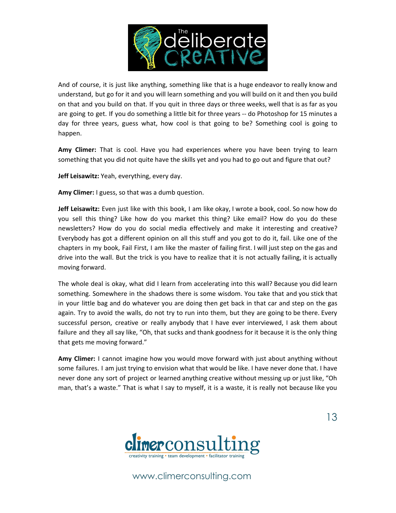

And of course, it is just like anything, something like that is a huge endeavor to really know and understand, but go for it and you will learn something and you will build on it and then you build on that and you build on that. If you quit in three days or three weeks, well that is as far as you are going to get. If you do something a little bit for three years -- do Photoshop for 15 minutes a day for three years, guess what, how cool is that going to be? Something cool is going to happen.

**Amy Climer:** That is cool. Have you had experiences where you have been trying to learn something that you did not quite have the skills yet and you had to go out and figure that out?

**Jeff Leisawitz:** Yeah, everything, every day.

**Amy Climer:** I guess, so that was a dumb question.

**Jeff Leisawitz:** Even just like with this book, I am like okay, I wrote a book, cool. So now how do you sell this thing? Like how do you market this thing? Like email? How do you do these newsletters? How do you do social media effectively and make it interesting and creative? Everybody has got a different opinion on all this stuff and you got to do it, fail. Like one of the chapters in my book, Fail First, I am like the master of failing first. I will just step on the gas and drive into the wall. But the trick is you have to realize that it is not actually failing, it is actually moving forward.

The whole deal is okay, what did I learn from accelerating into this wall? Because you did learn something. Somewhere in the shadows there is some wisdom. You take that and you stick that in your little bag and do whatever you are doing then get back in that car and step on the gas again. Try to avoid the walls, do not try to run into them, but they are going to be there. Every successful person, creative or really anybody that I have ever interviewed, I ask them about failure and they all say like, "Oh, that sucks and thank goodness for it because it is the only thing that gets me moving forward."

**Amy Climer:** I cannot imagine how you would move forward with just about anything without some failures. I am just trying to envision what that would be like. I have never done that. I have never done any sort of project or learned anything creative without messing up or just like, "Oh man, that's a waste." That is what I say to myself, it is a waste, it is really not because like you



www.climerconsulting.com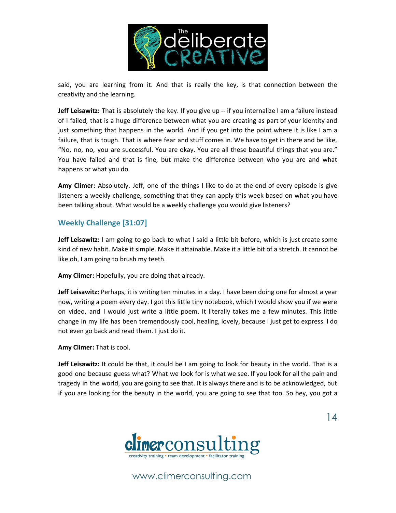

said, you are learning from it. And that is really the key, is that connection between the creativity and the learning.

**Jeff Leisawitz:** That is absolutely the key. If you give up -- if you internalize I am a failure instead of I failed, that is a huge difference between what you are creating as part of your identity and just something that happens in the world. And if you get into the point where it is like I am a failure, that is tough. That is where fear and stuff comes in. We have to get in there and be like, "No, no, no, you are successful. You are okay. You are all these beautiful things that you are." You have failed and that is fine, but make the difference between who you are and what happens or what you do.

**Amy Climer:** Absolutely. Jeff, one of the things I like to do at the end of every episode is give listeners a weekly challenge, something that they can apply this week based on what you have been talking about. What would be a weekly challenge you would give listeners?

## **Weekly Challenge [31:07]**

**Jeff Leisawitz:** I am going to go back to what I said a little bit before, which is just create some kind of new habit. Make it simple. Make it attainable. Make it a little bit of a stretch. It cannot be like oh, I am going to brush my teeth.

**Amy Climer:** Hopefully, you are doing that already.

**Jeff Leisawitz:** Perhaps, it is writing ten minutes in a day. I have been doing one for almost a year now, writing a poem every day. I got this little tiny notebook, which I would show you if we were on video, and I would just write a little poem. It literally takes me a few minutes. This little change in my life has been tremendously cool, healing, lovely, because I just get to express. I do not even go back and read them. I just do it.

**Amy Climer:** That is cool.

**Jeff Leisawitz:** It could be that, it could be I am going to look for beauty in the world. That is a good one because guess what? What we look for is what we see. If you look for all the pain and tragedy in the world, you are going to see that. It is always there and is to be acknowledged, but if you are looking for the beauty in the world, you are going to see that too. So hey, you got a



www.climerconsulting.com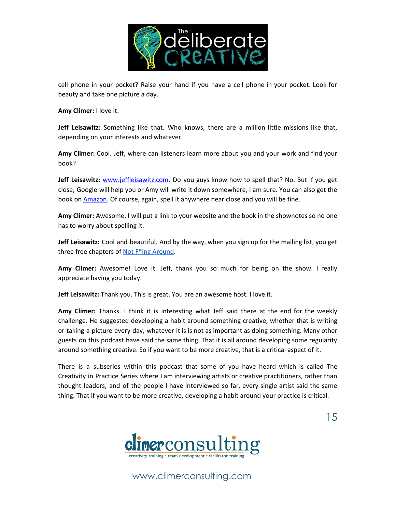

cell phone in your pocket? Raise your hand if you have a cell phone in your pocket. Look for beauty and take one picture a day.

**Amy Climer:** I love it.

**Jeff Leisawitz:** Something like that. Who knows, there are a million little missions like that, depending on your interests and whatever.

**Amy Climer:** Cool. Jeff, where can listeners learn more about you and your work and find your book?

Jeff Leisawitz: **[www.jeffleisawitz.com](http://www.jeffleisawitz.com/)**. Do you guys know how to spell that? No. But if you get close, Google will help you or Amy will write it down somewhere, I am sure. You can also get the book on **[Amazon](http://amzn.to/2E73FVC)**. Of course, again, spell it anywhere near close and you will be fine.

**Amy Climer:** Awesome. I will put a link to your website and the book in the shownotes so no one has to worry about spelling it.

**Jeff Leisawitz:** Cool and beautiful. And by the way, when you sign up for the mailing list, you get three free chapters of Not F<sup>\*</sup>ing [Around](http://amzn.to/2E73FVC).

**Amy Climer:** Awesome! Love it. Jeff, thank you so much for being on the show. I really appreciate having you today.

**Jeff Leisawitz:** Thank you. This is great. You are an awesome host. I love it.

**Amy Climer:** Thanks. I think it is interesting what Jeff said there at the end for the weekly challenge. He suggested developing a habit around something creative, whether that is writing or taking a picture every day, whatever it is is not as important as doing something. Many other guests on this podcast have said the same thing. That it is all around developing some regularity around something creative. So if you want to be more creative, that is a critical aspect of it.

There is a subseries within this podcast that some of you have heard which is called The Creativity in Practice Series where I am interviewing artists or creative practitioners, rather than thought leaders, and of the people I have interviewed so far, every single artist said the same thing. That if you want to be more creative, developing a habit around your practice is critical.



www.climerconsulting.com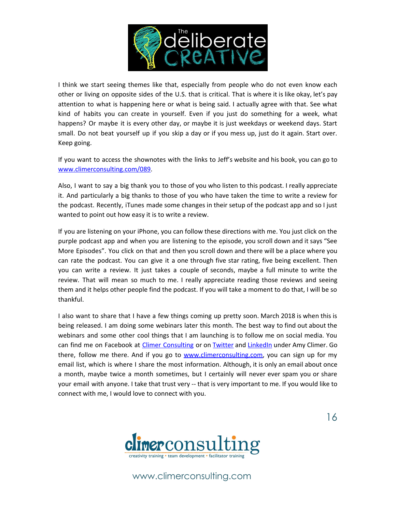

I think we start seeing themes like that, especially from people who do not even know each other or living on opposite sides of the U.S. that is critical. That is where it is like okay, let's pay attention to what is happening here or what is being said. I actually agree with that. See what kind of habits you can create in yourself. Even if you just do something for a week, what happens? Or maybe it is every other day, or maybe it is just weekdays or weekend days. Start small. Do not beat yourself up if you skip a day or if you mess up, just do it again. Start over. Keep going.

If you want to access the shownotes with the links to Jeff's website and his book, you can go to [www.climerconsulting.com/089](http://www.climerconsulting.com/089).

Also, I want to say a big thank you to those of you who listen to this podcast. I really appreciate it. And particularly a big thanks to those of you who have taken the time to write a review for the podcast. Recently, iTunes made some changes in their setup of the podcast app and so I just wanted to point out how easy it is to write a review.

If you are listening on your iPhone, you can follow these directions with me. You just click on the purple podcast app and when you are listening to the episode, you scroll down and it says "See More Episodes". You click on that and then you scroll down and there will be a place where you can rate the podcast. You can give it a one through five star rating, five being excellent. Then you can write a review. It just takes a couple of seconds, maybe a full minute to write the review. That will mean so much to me. I really appreciate reading those reviews and seeing them and it helps other people find the podcast. If you will take a moment to do that, I will be so thankful.

I also want to share that I have a few things coming up pretty soon. March 2018 is when this is being released. I am doing some webinars later this month. The best way to find out about the webinars and some other cool things that I am launching is to follow me on social media. You can find me on Facebook at Climer [Consulting](https://www.facebook.com/climerconsulting) or on [Twitter](https://twitter.com/amyclimer) and [LinkedIn](http://linkedin.com/in/amyclimer) under Amy Climer. Go there, follow me there. And if you go to [www.climerconsulting.com](http://www.climerconsulting.com/), you can sign up for my email list, which is where I share the most information. Although, it is only an email about once a month, maybe twice a month sometimes, but I certainly will never ever spam you or share your email with anyone. I take that trust very -- that is very important to me. If you would like to connect with me, I would love to connect with you.



www.climerconsulting.com